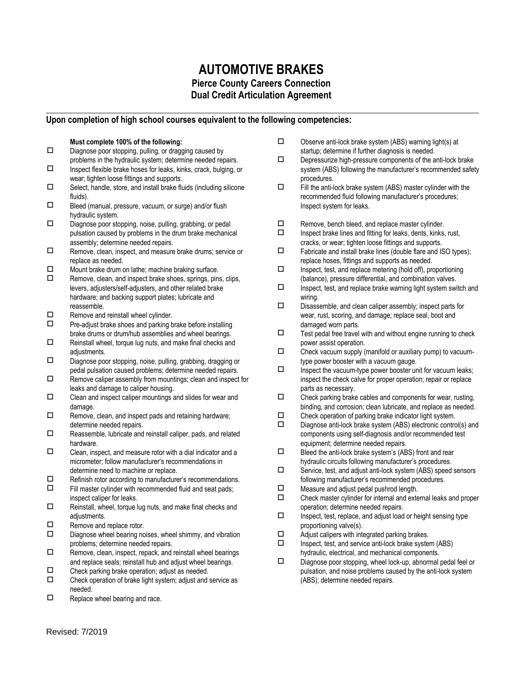## **AUTOMOTIVE BRAKES Pierce County Careers Connection Dual Credit Articulation Agreement**

## **Upon completion of high school courses equivalent to the following competencies:**

## **Must complete 100% of the following:**

- $\square$  Diagnose poor stopping, pulling, or dragging caused by problems in the hydraulic system; determine needed repairs.
- $\square$  Inspect flexible brake hoses for leaks, kinks, crack, bulging, or wear; tighten loose fittings and supports.
- $\square$  Select, handle, store, and install brake fluids (including silicone fluids).
- $\square$  Bleed (manual, pressure, vacuum, or surge) and/or flush hydraulic system.
- $\square$  Diagnose poor stopping, noise, pulling, grabbing, or pedal pulsation caused by problems in the drum brake mechanical assembly; determine needed repairs.
- Remove, clean, inspect, and measure brake drums; service or replace as needed.
- $\Box$  Mount brake drum on lathe; machine braking surface.<br> $\Box$  Remove clean and inspect brake shoes springs pine
- Remove, clean, and inspect brake shoes, springs, pins, clips, levers, adjusters/self-adjusters, and other related brake hardware; and backing support plates; lubricate and reassemble.
- $\Box$  Remove and reinstall wheel cylinder.<br> $\Box$  Pre-adiust brake shoes and parking b
- Pre-adjust brake shoes and parking brake before installing brake drums or drum/hub assemblies and wheel bearings.
- $\Box$  Reinstall wheel, torque lug nuts, and make final checks and adiustments.
- $\square$  Diagnose poor stopping, noise, pulling, grabbing, dragging or pedal pulsation caused problems; determine needed repairs.
- $\Box$  Remove caliper assembly from mountings; clean and inspect for leaks and damage to caliper housing.
- $\square$  Clean and inspect caliper mountings and slides for wear and damage.
- $\Box$  Remove, clean, and inspect pads and retaining hardware; determine needed repairs.
- $\square$  Reassemble, lubricate and reinstall caliper, pads, and related hardware.
- $\square$  Clean, inspect, and measure rotor with a dial indicator and a micrometer; follow manufacturer's recommendations in determine need to machine or replace.
- $\Box$  Refinish rotor according to manufacturer's recommendations.<br> $\Box$  Fill master cylinder with recommended fluid and seat nads:
- Fill master cylinder with recommended fluid and seat pads; inspect caliper for leaks.
- $\Box$  Reinstall, wheel, torque lug nuts, and make final checks and adjustments.
- $\Box$  Remove and replace rotor.<br> $\Box$  Diagnose wheel bearing no
- Diagnose wheel bearing noises, wheel shimmy, and vibration problems; determine needed repairs.
- $\Box$  Remove, clean, inspect, repack, and reinstall wheel bearings and replace seals; reinstall hub and adjust wheel bearings.
- $\square$  Check parking brake operation; adjust as needed.<br> $\square$  Check operation of brake light system; adjust and
- Check operation of brake light system; adjust and service as needed.
- $\Box$  Replace wheel bearing and race.
- $\square$  Observe anti-lock brake system (ABS) warning light(s) at startup; determine if further diagnosis is needed.
- $\square$  Depressurize high-pressure components of the anti-lock brake system (ABS) following the manufacturer's recommended safety procedures.
- $\Box$  Fill the anti-lock brake system (ABS) master cylinder with the recommended fluid following manufacturer's procedures; Inspect system for leaks.
- $\Box$  Remove, bench bleed, and replace master cylinder.<br> $\Box$  Inspect brake lines and fitting for leaks dents kinks
- Inspect brake lines and fitting for leaks, dents, kinks, rust, cracks, or wear; tighten loose fittings and supports.
- $\Box$  Fabricate and install brake lines (double flare and ISO types); replace hoses, fittings and supports as needed.
- $\square$  Inspect, test, and replace metering (hold off), proportioning (balance), pressure differential, and combination valves.
- $\square$  Inspect, test, and replace brake warning light system switch and wiring.
- $\square$  Disassemble, and clean caliper assembly; inspect parts for wear, rust, scoring, and damage; replace seal, boot and damaged worn parts.
- $\Box$  Test pedal free travel with and without engine running to check power assist operation.
- $\square$  Check vacuum supply (manifold or auxiliary pump) to vacuumtype power booster with a vacuum gauge.
- $\square$  Inspect the vacuum-type power booster unit for vacuum leaks; inspect the check calve for proper operation; repair or replace parts as necessary.
- $\square$  Check parking brake cables and components for wear, rusting, binding, and corrosion; clean lubricate, and replace as needed.
- $\square$  Check operation of parking brake indicator light system.<br> $\square$  Diagnose anti-lock brake system (ABS) electronic contro
- Diagnose anti-lock brake system (ABS) electronic control(s) and components using self-diagnosis and/or recommended test equipment; determine needed repairs.
- $\square$  Bleed the anti-lock brake system's (ABS) front and rear hydraulic circuits following manufacturer's procedures.
- Service, test, and adjust anti-lock system (ABS) speed sensors following manufacturer's recommended procedures.
- $\square$  Measure and adjust pedal pushrod length.<br> $\square$  Check master cylinder for internal and external
- Check master cylinder for internal and external leaks and proper operation; determine needed repairs.
- $\square$  Inspect, test, replace, and adjust load or height sensing type proportioning valve(s).
- $\Box$  Adjust calipers with integrated parking brakes.<br> $\Box$  Inspect test and service anti-lock brake system
- Inspect, test, and service anti-lock brake system (ABS) hydraulic, electrical, and mechanical components.
- $\square$  Diagnose poor stopping, wheel lock-up, abnormal pedal feel or pulsation, and noise problems caused by the anti-lock system (ABS); determine needed repairs.